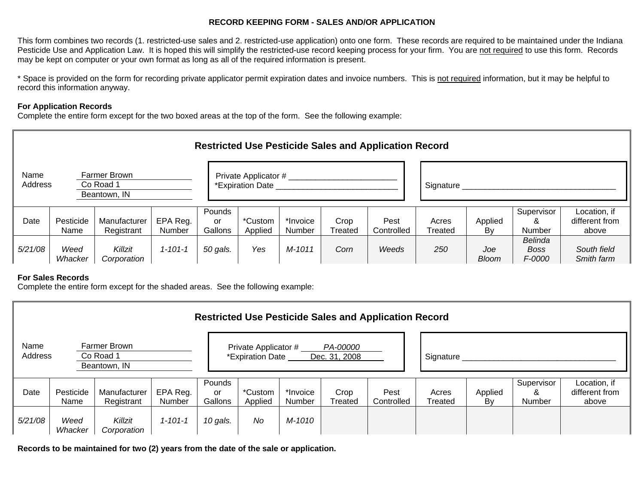## **RECORD KEEPING FORM - SALES AND/OR APPLICATION**

This form combines two records (1. restricted-use sales and 2. restricted-use application) onto one form. These records are required to be maintained under the Indiana Pesticide Use and Application Law. It is hoped this will simplify the restricted-use record keeping process for your firm. You are not required to use this form. Records may be kept on computer or your own format as long as all of the required information is present.

\* Space is provided on the form for recording private applicator permit expiration dates and invoice numbers. This is not required information, but it may be helpful to record this information anyway.

## **For Application Records**

Complete the entire form except for the two boxed areas at the top of the form. See the following example:

| <b>Restricted Use Pesticide Sales and Application Record</b> |                   |                            |                    |                                          |                    |                    |                 |                    |                  |                     |                                         |                                         |
|--------------------------------------------------------------|-------------------|----------------------------|--------------------|------------------------------------------|--------------------|--------------------|-----------------|--------------------|------------------|---------------------|-----------------------------------------|-----------------------------------------|
| Name<br>Farmer Brown<br>Address<br>Co Road 1<br>Beantown, IN |                   |                            |                    | Private Applicator #<br>*Expiration Date |                    |                    |                 |                    | Signature        |                     |                                         |                                         |
| Date                                                         | Pesticide<br>Name | Manufacturer<br>Registrant | EPA Reg.<br>Number | Pounds<br>or<br>Gallons                  | *Custom<br>Applied | *Invoice<br>Number | Crop<br>Treated | Pest<br>Controlled | Acres<br>Treated | Applied<br>By       | Supervisor<br>&<br>Number               | Location, if<br>different from<br>above |
| 5/21/08                                                      | Weed<br>Whacker   | Killzit<br>Corporation     | $1 - 101 - 1$      | 50 gals.                                 | Yes                | M-1011             | Corn            | Weeds              | 250              | Joe<br><b>Bloom</b> | Belinda<br><b>Boss</b><br><i>F-0000</i> | South field<br>Smith farm               |

## **For Sales Records**

Complete the entire form except for the shaded areas. See the following example:

| <b>Restricted Use Pesticide Sales and Application Record</b> |                   |                            |                    |                                                                       |                    |                    |                 |                    |                  |               |                           |                                         |
|--------------------------------------------------------------|-------------------|----------------------------|--------------------|-----------------------------------------------------------------------|--------------------|--------------------|-----------------|--------------------|------------------|---------------|---------------------------|-----------------------------------------|
| Name<br>Farmer Brown<br>Address<br>Co Road 1<br>Beantown, IN |                   |                            |                    | Private Applicator #<br>PA-00000<br>*Expiration Date<br>Dec. 31, 2008 |                    |                    |                 |                    | Signature        |               |                           |                                         |
| Date                                                         | Pesticide<br>Name | Manufacturer<br>Registrant | EPA Reg.<br>Number | Pounds<br>.or<br>Gallons                                              | *Custom<br>Applied | *Invoice<br>Number | Crop<br>Treated | Pest<br>Controlled | Acres<br>Treated | Applied<br>By | Supervisor<br>&<br>Number | Location, if<br>different from<br>above |
| 5/21/08                                                      | Weed<br>Whacker   | Killzit<br>Corporation     | $1 - 101 - 1$      | 10 gals.                                                              | No                 | M-1010             |                 |                    |                  |               |                           |                                         |

**Records to be maintained for two (2) years from the date of the sale or application.**